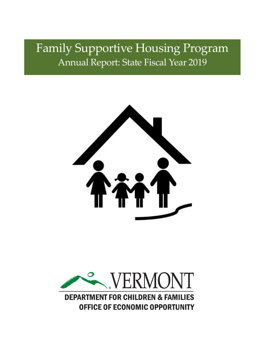# Family Supportive Housing Program Annual Report: State Fiscal Year 2019



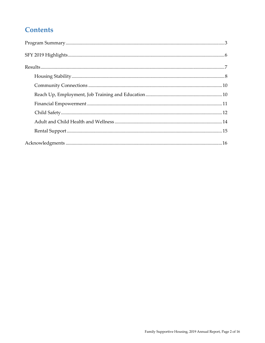# **Contents**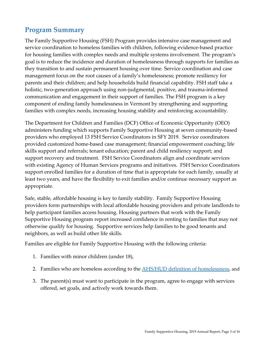# <span id="page-2-0"></span>**Program Summary**

The Family Supportive Housing (FSH) Program provides intensive case management and service coordination to homeless families with children, following evidence-based practice for housing families with complex needs and multiple systems involvement. The program's goal is to reduce the incidence and duration of homelessness through supports for families as they transition to and sustain permanent housing over time. Service coordination and case management focus on the root causes of a family's homelessness; promote resiliency for parents and their children; and help households build financial capability. FSH staff take a holistic, two-generation approach using non-judgmental, positive, and trauma-informed communication and engagement in their support of families. The FSH program is a key component of ending family homelessness in Vermont by strengthening and supporting families with complex needs, increasing housing stability and reinforcing accountability.

The Department for Children and Families (DCF) Office of Economic Opportunity (OEO) administers funding which supports Family Supportive Housing at seven community-based providers who employed 13 FSH Service Coordinators in SFY 2019. Service coordinators provided customized home-based case management; financial empowerment coaching; life skills support and referrals; tenant education; parent and child resiliency support; and support recovery and treatment. FSH Service Coordinators align and coordinate services with existing Agency of Human Services programs and initiatives. FSH Service Coordinators support enrolled families for a duration of time that is appropriate for each family, usually at least two years, and have the flexibility to exit families and/or continue necessary support as appropriate.

Safe, stable, affordable housing is key to family stability. Family Supportive Housing providers form partnerships with local affordable housing providers and private landlords to help participant families access housing. Housing partners that work with the Family Supportive Housing program report increased confidence in renting to families that may not otherwise qualify for housing. Supportive services help families to be good tenants and neighbors, as well as build other life skills.

Families are eligible for Family Supportive Housing with the following criteria:

- 1. Families with minor children (under 18),
- 2. Families who are homeless according to the **AHS/HUD** definition of homelessness, and
- 3. The parent(s) must want to participate in the program, agree to engage with services offered, set goals, and actively work towards them.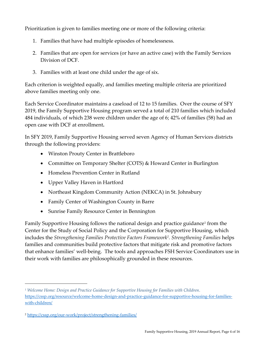Prioritization is given to families meeting one or more of the following criteria:

- 1. Families that have had multiple episodes of homelessness.
- 2. Families that are open for services (or have an active case) with the Family Services Division of DCF.
- 3. Families with at least one child under the age of six.

Each criterion is weighted equally, and families meeting multiple criteria are prioritized above families meeting only one.

Each Service Coordinator maintains a caseload of 12 to 15 families. Over the course of SFY 2019, the Family Supportive Housing program served a total of 210 families which included 484 individuals, of which 238 were children under the age of 6; 42% of families (58) had an open case with DCF at enrollment**.**

In SFY 2019, Family Supportive Housing served seven Agency of Human Services districts through the following providers:

- Winston Prouty Center in Brattleboro
- Committee on Temporary Shelter (COTS) & Howard Center in Burlington
- Homeless Prevention Center in Rutland
- Upper Valley Haven in Hartford
- Northeast Kingdom Community Action (NEKCA) in St. Johnsbury
- Family Center of Washington County in Barre
- Sunrise Family Resource Center in Bennington

Family Supportive Housing follows the national design and practice guidance<sup>1</sup> from the Center for the Study of Social Policy and the Corporation for Supportive Housing, which includes the *Strengthening Families Protective Factors Framework<sup>2</sup> . Strengthening Families* helps families and communities build protective factors that mitigate risk and promotive factors that enhance families' well-being. The tools and approaches FSH Service Coordinators use in their work with families are philosophically grounded in these resources.

*<sup>1</sup> Welcome Home: Design and Practice Guidance for Supportive Housing for Families with Children*. [https://cssp.org/resource/welcome-home-design-and-practice-guidance-for-supportive-housing-for-families](https://cssp.org/resource/welcome-home-design-and-practice-guidance-for-supportive-housing-for-families-with-children/)[with-children/](https://cssp.org/resource/welcome-home-design-and-practice-guidance-for-supportive-housing-for-families-with-children/)

<sup>2</sup> <https://cssp.org/our-work/project/strengthening-families/>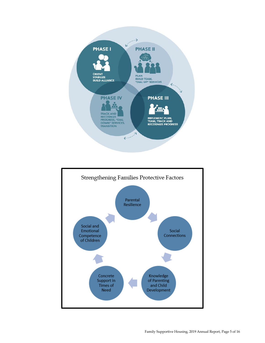

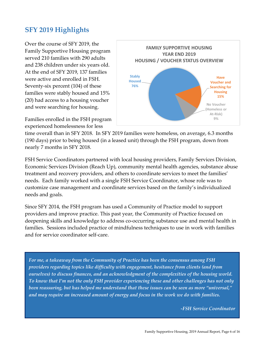# <span id="page-5-0"></span>**SFY 2019 Highlights**

Over the course of SFY 2019, the Family Supportive Housing program served 210 families with 290 adults and 238 children under six years old. At the end of SFY 2019, 137 families were active and enrolled in FSH. Seventy-six percent (104) of these families were stably housed and 15% (20) had access to a housing voucher and were searching for housing.

Families enrolled in the FSH program experienced homelessness for less



time overall than in SFY 2018. In SFY 2019 families were homeless, on average, 6.3 months (190 days) prior to being housed (in a leased unit) through the FSH program, down from nearly 7 months in SFY 2018.

FSH Service Coordinators partnered with local housing providers, Family Services Division, Economic Services Division (Reach Up), community mental health agencies, substance abuse treatment and recovery providers, and others to coordinate services to meet the families' needs. Each family worked with a single FSH Service Coordinator, whose role was to customize case management and coordinate services based on the family's individualized needs and goals.

Since SFY 2014, the FSH program has used a Community of Practice model to support providers and improve practice. This past year, the Community of Practice focused on deepening skills and knowledge to address co-occurring substance use and mental health in families. Sessions included practice of mindfulness techniques to use in work with families and for service coordinator self-care.

*For me, a takeaway from the Community of Practice has been the consensus among FSH providers regarding topics like difficulty with engagement, hesitance from clients (and from ourselves) to discuss finances, and an acknowledgment of the complexities of the housing world. To know that I'm not the only FSH provider experiencing these and other challenges has not only been reassuring, but has helped me understand that these issues can be seen as more "universal," and may require an increased amount of energy and focus in the work we do with families.* 

*-FSH Service Coordinator*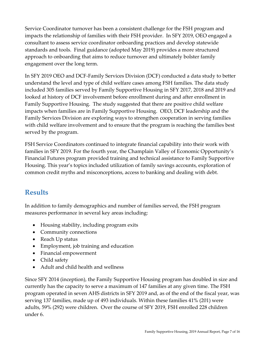Service Coordinator turnover has been a consistent challenge for the FSH program and impacts the relationship of families with their FSH provider. In SFY 2019, OEO engaged a consultant to assess service coordinator onboarding practices and develop statewide standards and tools. Final guidance (adopted May 2019) provides a more structured approach to onboarding that aims to reduce turnover and ultimately bolster family engagement over the long term.

In SFY 2019 OEO and DCF-Family Services Division (DCF) conducted a data study to better understand the level and type of child welfare cases among FSH families. The data study included 305 families served by Family Supportive Housing in SFY 2017, 2018 and 2019 and looked at history of DCF involvement before enrollment during and after enrollment in Family Supportive Housing. The study suggested that there are positive child welfare impacts when families are in Family Supportive Housing. OEO, DCF leadership and the Family Services Division are exploring ways to strengthen cooperation in serving families with child welfare involvement and to ensure that the program is reaching the families best served by the program.

FSH Service Coordinators continued to integrate financial capability into their work with families in SFY 2019. For the fourth year, the Champlain Valley of Economic Opportunity's Financial Futures program provided training and technical assistance to Family Supportive Housing. This year's topics included utilization of family savings accounts, exploration of common credit myths and misconceptions, access to banking and dealing with debt.

# <span id="page-6-0"></span>**Results**

In addition to family demographics and number of families served, the FSH program measures performance in several key areas including:

- Housing stability, including program exits
- Community connections
- Reach Up status
- Employment, job training and education
- Financial empowerment
- Child safety
- Adult and child health and wellness

Since SFY 2014 (inception), the Family Supportive Housing program has doubled in size and currently has the capacity to serve a maximum of 147 families at any given time. The FSH program operated in seven AHS districts in SFY 2019 and, as of the end of the fiscal year, was serving 137 families, made up of 493 individuals. Within these families 41% (201) were adults, 59% (292) were children. Over the course of SFY 2019, FSH enrolled 228 children under 6.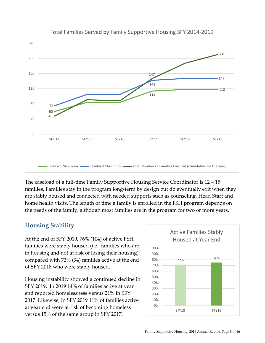

The caseload of a full-time Family Supportive Housing Service Coordinator is 12 – 15 families. Families stay in the program long-term by design but do eventually exit when they are stably housed and connected with needed supports such as counseling, Head Start and home health visits. The length of time a family is enrolled in the FSH program depends on the needs of the family, although most families are in the program for two or more years.

#### <span id="page-7-0"></span>**Housing Stability**

At the end of SFY 2019, 76% (104) of active FSH families were stably housed (i.e., families who are in housing and not at risk of losing their housing), compared with 72% (94) families active at the end of SFY 2018 who were stably housed.

Housing instability showed a continued decline in SFY 2019. In 2019 14% of families active at year end reported homelessness versus 21% in SFY 2017. Likewise, in SFY 2019 11% of families active at year end were at risk of becoming homeless versus 15% of the same group in SFY 2017.

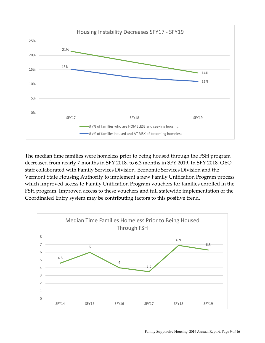

The median time families were homeless prior to being housed through the FSH program decreased from nearly 7 months in SFY 2018, to 6.3 months in SFY 2019. In SFY 2018, OEO staff collaborated with Family Services Division, Economic Services Division and the Vermont State Housing Authority to implement a new Family Unification Program process which improved access to Family Unification Program vouchers for families enrolled in the FSH program. Improved access to these vouchers and full statewide implementation of the Coordinated Entry system may be contributing factors to this positive trend.

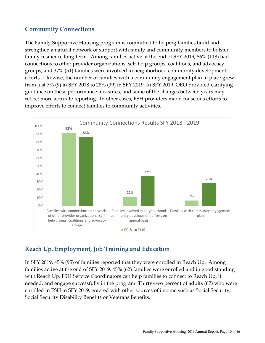#### <span id="page-9-0"></span>**Community Connections**

The Family Supportive Housing program is committed to helping families build and strengthen a natural network of support with family and community members to bolster family resilience long-term. Among families active at the end of SFY 2019, 86% (118) had connections to other provider organizations, self-help groups, coalitions, and advocacy groups, and 37% (51) families were involved in neighborhood community development efforts. Likewise, the number of families with a community engagement plan in place grew from just 7% (9) in SFY 2018 to 28% (39) in SFY 2019. In SFY 2019. OEO provided clarifying guidance on these performance measures, and some of the changes between years may reflect more accurate reporting. In other cases, FSH providers made conscious efforts to improve efforts to connect families to community activities.

<span id="page-9-1"></span>

#### **Reach Up, Employment, Job Training and Education**

In SFY 2019, 45% (95) of families reported that they were enrolled in Reach Up. Among families active at the end of SFY 2019, 45% (62) families were enrolled and in good standing with Reach Up. FSH Service Coordinators can help families to connect to Reach Up, if needed, and engage successfully in the program. Thirty-two percent of adults (67) who were enrolled in FSH in SFY 2019, entered with other sources of income such as Social Security, Social Security Disability Benefits or Veterans Benefits.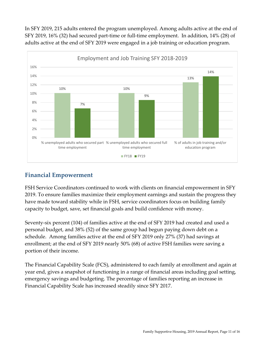In SFY 2019, 215 adults entered the program unemployed. Among adults active at the end of SFY 2019, 16% (32) had secured part-time or full-time employment. In addition, 14% (28) of adults active at the end of SFY 2019 were engaged in a job training or education program.



#### <span id="page-10-0"></span>**Financial Empowerment**

FSH Service Coordinators continued to work with clients on financial empowerment in SFY 2019. To ensure families maximize their employment earnings and sustain the progress they have made toward stability while in FSH, service coordinators focus on building family capacity to budget, save, set financial goals and build confidence with money.

Seventy-six percent (104) of families active at the end of SFY 2019 had created and used a personal budget, and 38% (52) of the same group had begun paying down debt on a schedule. Among families active at the end of SFY 2019 only 27% (37) had savings at enrollment; at the end of SFY 2019 nearly 50% (68) of active FSH families were saving a portion of their income.

The Financial Capability Scale (FCS), administered to each family at enrollment and again at year end, gives a snapshot of functioning in a range of financial areas including goal setting, emergency savings and budgeting. The percentage of families reporting an increase in Financial Capability Scale has increased steadily since SFY 2017.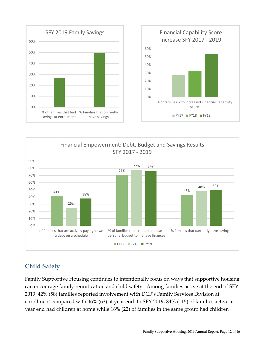



# <span id="page-11-0"></span>**Child Safety**

Family Supportive Housing continues to intentionally focus on ways that supportive housing can encourage family reunification and child safety. Among families active at the end of SFY 2019, 42% (58) families reported involvement with DCF's Family Services Division at enrollment compared with 46% (63) at year end. In SFY 2019, 84% (115) of families active at year end had children at home while 16% (22) of families in the same group had children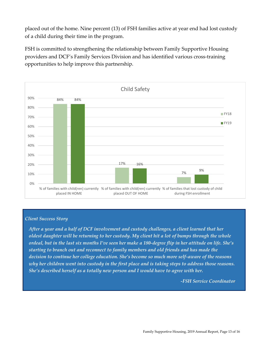placed out of the home. Nine percent (13) of FSH families active at year end had lost custody of a child during their time in the program.

FSH is committed to strengthening the relationship between Family Supportive Housing providers and DCF's Family Services Division and has identified various cross-training opportunities to help improve this partnership.



#### *Client Success Story*

*After a year and a half of DCF involvement and custody challenges, a client learned that her oldest daughter will be returning to her custody. My client hit a lot of bumps through the whole ordeal, but in the last six months I've seen her make a 180-degree flip in her attitude on life. She's starting to branch out and reconnect to family members and old friends and has made the decision to continue her college education. She's become so much more self-aware of the reasons why her children went into custody in the first place and is taking steps to address those reasons. She's described herself as a totally new person and I would have to agree with her.*

*-FSH Service Coordinator*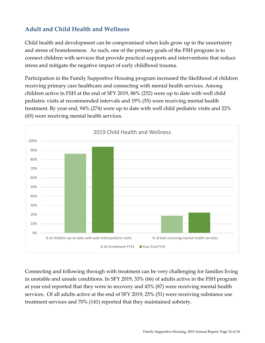### <span id="page-13-0"></span>**Adult and Child Health and Wellness**

Child health and development can be compromised when kids grow up in the uncertainty and stress of homelessness. As such, one of the primary goals of the FSH program is to connect children with services that provide practical supports and interventions that reduce stress and mitigate the negative impact of early childhood trauma.

Participation in the Family Supportive Housing program increased the likelihood of children receiving primary care healthcare and connecting with mental health services. Among children active in FSH at the end of SFY 2019, 86% (252) were up to date with well child pediatric visits at recommended intervals and 19% (55) were receiving mental health treatment. By year end, 94% (274) were up to date with well child pediatric visits and 22% (65) were receiving mental health services.



Connecting and following through with treatment can be very challenging for families living in unstable and unsafe conditions. In SFY 2019, 33% (66) of adults active in the FSH program at year end reported that they were in recovery and 43% (87) were receiving mental health services. Of all adults active at the end of SFY 2019, 25% (51) were receiving substance use treatment services and 70% (141) reported that they maintained sobriety.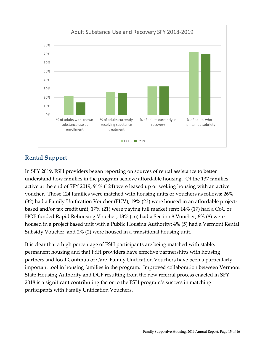

#### **Rental Support**

In SFY 2019, FSH providers began reporting on sources of rental assistance to better understand how families in the program achieve affordable housing. Of the 137 families active at the end of SFY 2019, 91% (124) were leased up or seeking housing with an active voucher. Those 124 families were matched with housing units or vouchers as follows: 26% (32) had a Family Unification Voucher (FUV); 19% (23) were housed in an affordable projectbased and/or tax credit unit; 17% (21) were paying full market rent; 14% (17) had a CoC or HOP funded Rapid Rehousing Voucher; 13% (16) had a Section 8 Voucher; 6% (8) were housed in a project based unit with a Public Housing Authority; 4% (5) had a Vermont Rental Subsidy Voucher; and 2% (2) were housed in a transitional housing unit.

<span id="page-14-0"></span>It is clear that a high percentage of FSH participants are being matched with stable, permanent housing and that FSH providers have effective partnerships with housing partners and local Continua of Care. Family Unification Vouchers have been a particularly important tool in housing families in the program. Improved collaboration between Vermont State Housing Authority and DCF resulting from the new referral process enacted in SFY 2018 is a significant contributing factor to the FSH program's success in matching participants with Family Unification Vouchers.